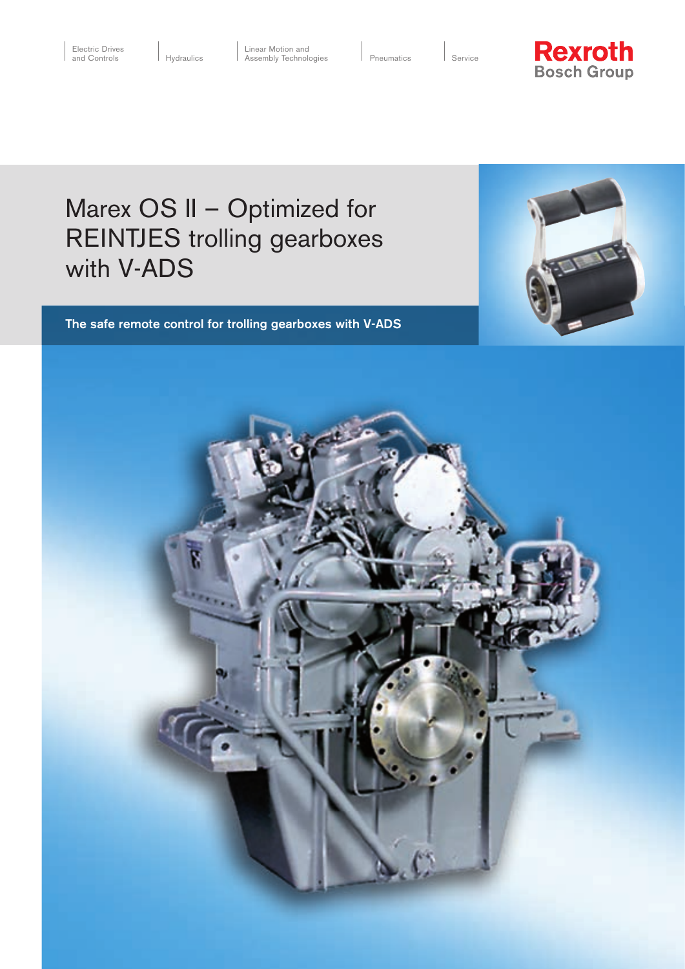$|$  Service



# Marex OS II – Optimized for REINTJES trolling gearboxes with V-ADS

## The safe remote control for trolling gearboxes with V-ADS



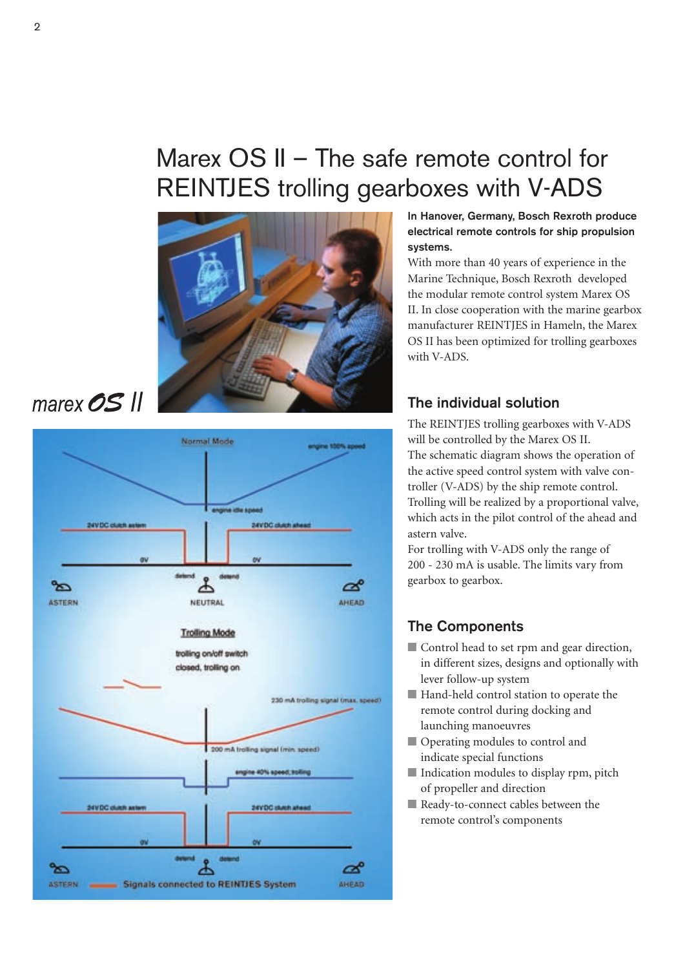# Marex OS II – The safe remote control for REINTJES trolling gearboxes with V-ADS



marex OS II



In Hanover, Germany, Bosch Rexroth produce electrical remote controls for ship propulsion systems.

With more than 40 years of experience in the Marine Technique, Bosch Rexroth developed the modular remote control system Marex OS II. In close cooperation with the marine gearbox manufacturer REINTJES in Hameln, the Marex OS II has been optimized for trolling gearboxes with V-ADS.

## The individual solution

The REINTJES trolling gearboxes with V-ADS will be controlled by the Marex OS II. The schematic diagram shows the operation of the active speed control system with valve controller (V-ADS) by the ship remote control. Trolling will be realized by a proportional valve, which acts in the pilot control of the ahead and astern valve.

For trolling with V-ADS only the range of 200 - 230 mA is usable. The limits vary from gearbox to gearbox.

# The Components

- Control head to set rpm and gear direction, in different sizes, designs and optionally with lever follow-up system
- Hand-held control station to operate the remote control during docking and launching manoeuvres
- Operating modules to control and indicate special functions
- Indication modules to display rpm, pitch of propeller and direction
- Ready-to-connect cables between the remote control's components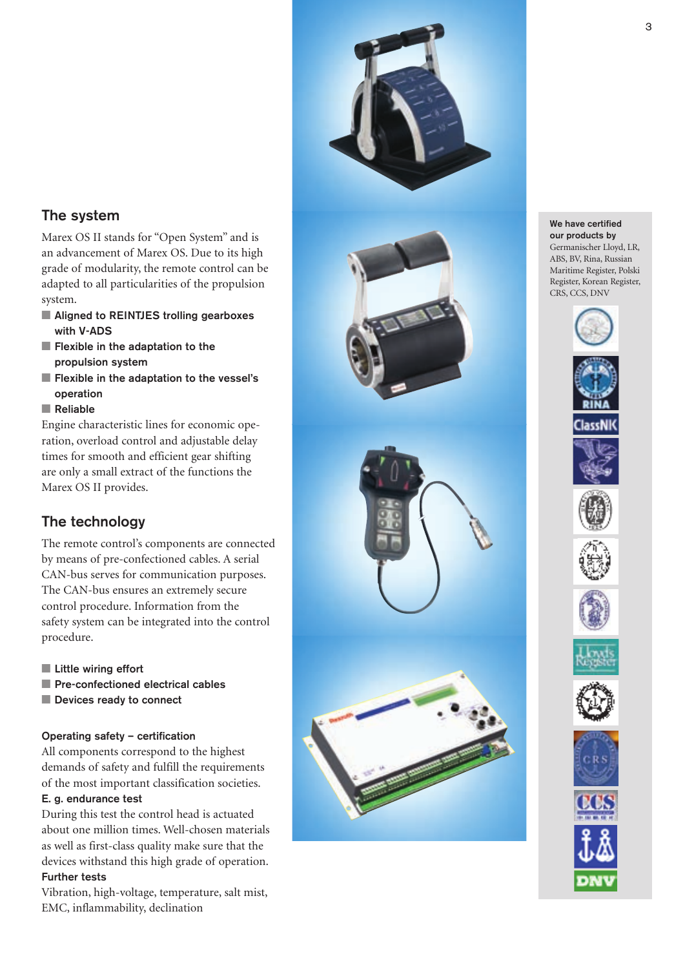

## The system

Marex OS II stands for "Open System" and is an advancement of Marex OS. Due to its high grade of modularity, the remote control can be adapted to all particularities of the propulsion system.

- Aligned to REINTJES trolling gearboxes with V-ADS
- Flexible in the adaptation to the propulsion system
- Flexible in the adaptation to the vessel's operation
- Reliable

Engine characteristic lines for economic operation, overload control and adjustable delay times for smooth and efficient gear shifting are only a small extract of the functions the Marex OS II provides.

# The technology

The remote control's components are connected by means of pre-confectioned cables. A serial CAN-bus serves for communication purposes. The CAN-bus ensures an extremely secure control procedure. Information from the safety system can be integrated into the control procedure.

- Little wiring effort
- Pre-confectioned electrical cables
- Devices ready to connect

## Operating safety – certification

All components correspond to the highest demands of safety and fulfill the requirements of the most important classification societies.

#### E. g. endurance test

During this test the control head is actuated about one million times. Well-chosen materials as well as first-class quality make sure that the devices withstand this high grade of operation.

## Further tests

Vibration, high-voltage, temperature, salt mist, EMC, inflammability, declination